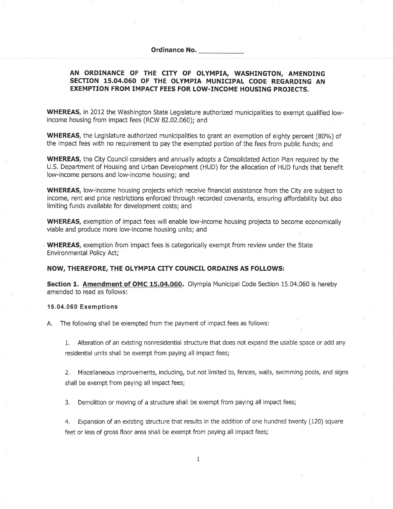## Ordinance No.

## AN ORDINANCE OF THE CITY OF OLYMPIA, WASHINGTON, AMENDING SECTION 15.04.060 OF THE OLYMPIA MUNICIPAL CODE REGARDING AN EXEMPTION FROM IMPACT FEES FOR LOW.INCOME HOUSING PROJECTS.

WHEREAS, in 2012 the Washington State Legislature authorized municipalities to exempt qualified lowincome housing from impact fees (RCW 82.02,060); and

WHEREAS, the Legislature authorized municipalities to grant an exemption of eighty percent (80%) of the impact fees with no requirement to pay the exempted portion of the fees from public funds; and

WHEREAS, the City Council considers and annually adopts a Consolidated Action Plan required by the U.S, Department of Housing and Urban Development (HUD) for the allocation of HUD funds that benefit low-income persons and low-income housing; and

WHEREAS, low-income housing projects which receive financial assistance from the City are subject to income, rent and price restrictions enforced through recorded covenants, ensuring affordability but also limiting funds available for development costs; and

WHEREAS, exemption of impact fees will enable low-income housing projects to become economically viable and produce more low-income housing units; and

WHEREAS, exemption from impact fees is categorically exempt from review under the State Environmental Policy Act;

## NOW, THEREFORE, THE OLYMPIA CITY COUNCIL ORDAINS AS FOLLOWS:

Section 1. Amendment of OMC 15.04.060. Olympia Municipal Code Section 15.04.060 is hereby amended to read as follows:

## 15.04.060 Exemptions

A. The following shall be exempted from the payment of impact fees as follows!

1. Alteration of an existing nonresidential structure that does not expand the usable space or add any residential units shall be exempt from paying all impact fees;

2. Miscellaneous improvements, including, but not limited to, fences, walls, swlmming pools, and signs shall be exempt from paying all impact fees;

3, Demolition or moving of a structure shall be exempt from paying all impact fees;

4. Expansion of an existing structure that results in the addition of one hundred twenty (120) square feet or less of gross floor area shall be exempt from paying all impact fees;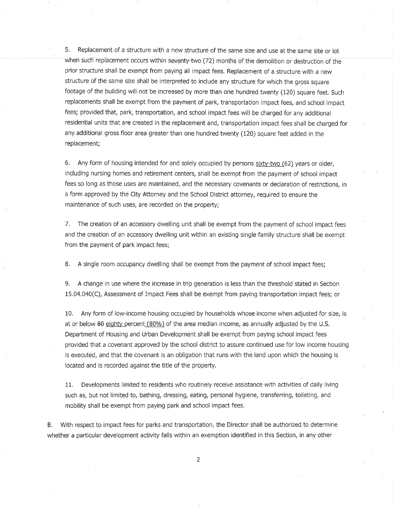5. Replacement of a structure with a new structure of the same size and use at the same site or lot when such replacement occurs within seventy-two (72) months of the demolition or destruction of the prior structure shall be exempt from paying all impact fees. Replacement of a structure with a new structure of the same size shall be interpreted to include any structure for which the gross square footage of the building will not be increased by more than one hundred twenty (120) square feet. Such replacements shall be exempt from the payment of park, transportation impact fees, and school impact fees; provided that, park, transportation, and school impact fees will be charged for any additional residential units that are created in the replacement and, transportation impact fees shall be charged for any additional gross floor area greater than one hundred twenty (120) square feet added in the replacement;

6. Any form of housing intended for and solely occupied by persons sixw-two (62) years or older, including nursing homes and retirement centers, shall be exempt from the payment of school impact fees so long as those uses are maintained, and the necessary covenants or declaration of restrictions, in a form approved by the City Attorney and the School District attorney, required to ensure the maintenance of such uses, are recorded on the property;

7, The creation of an accessory dwelling unit shall be exempt from the payment of school impact fees and the creation of an accessory dwelling unit within an existing single family structure shall be exempt from the payment of park impact fees;

B. A single room occupancy dwelling shall be exempt from the payment of school impact fees;

9, A change in use where the increase in trip generation is less than the threshold stated in Section 15,04.040(C), Assessment of Impact Fees shall be exempt from paying transpoftation impact fees; or

10. Any form of low-income housing occupied by households whose income when adjusted for size, is at or below 80 eighty percent  $(80\%)$  of the area median income, as annually adjusted by the U.S. Depaftment of Housing and Urban Development shall be exempt from paying school impact fees provided that a covenant approved by the school district to assure continued use for low income housing is executed, and that the covenant is an obligation that runs with the land upon which the housing is located and is recorded against the title of the property.

11, Developments limited to residents who routinely receive assistance with activities of daily living such as, but not limited to, bathing, dressing, eating, personal hygiene, transferring, toileting, and mobility shall be exempt from paying park and school impact fees,

B. With respect to impact fees for parks and transportation, the Director shall be authorized to determine whether a particular development activity falls within an exemption identifled in this Section, in any other

2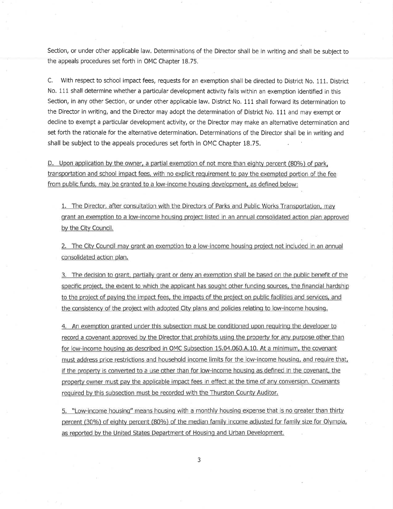Section, or under other applicable law, Determinations of the Director shall be in writing and shall be subject to the appeals procedures set forth in OMC Chapter 18,75.

C. With respect to scliool impact fees, requests for an exemption shall be directed to District No. 111. District No. 111 shall determine whether a particular development activity falls within an exemption identified in this Section, in any other Section, or under other applicable law. District No. 111 shall forward its determination to the Director in writing, and the Director may adopt the determination of District No, 111 and may exempt or decline to exempt a particular development activity, or the Director may make an alternative determination and set forth the rationale for the alternative determination. Determinations of the Director shall be in writing and shall be subject to the appeals procedures set forth in OMC Chapter 18.75.

D. Upon application by the owner, a partial exemption of not more than eighty percent (80%) of park, transportation and school impact fees, with no explicit requirement to pay the exempted portion of the fee from public funds, may be granted to a low-income housing development, as defined below:

1, The Director. after consultation with the Directors of Parks and Public Works Transportation. mav grant an exemption to a low-income housinq project listed in an annual consolidated action plan approved bv the Citv Council.

2, The Citv Council may qrant an exemption to a low-income housinq project not included in an annual consolidated action plan,

3. The decision to grant, partially grant or deny an exemption shall be based on the public benefit of the specific project, the extent to which the applicant has sought other funding sources, the financial hardship to the project of paying the impact fees, the impacts of the project on public facilities and services, and the consistency of the project with adopted City plans and policies relating to low-income housing.

4. An exemption granted under this subsection must be conditioned upon requiring the developer to record a covenant approved by the Director that prohibits usinq the property for any purpose other than for low-income housino as described in OMC Subsection 15.04.060,4.10. At a minimum, the covenant fnust address price restrictions and household income limits for the low-income housing, and require that, if the property is converted to a use other than for low-income housing as defined in the covenant, the property owner must pay the applicable impact fees in effect at the time of any conversion. Covenants required by this subsection must be recorded with the Thurston County Auditor.

5. "Low-income housing" means housing with a monthly housing expense that is no greater than thirty percent (30%) of eighty percent (80%) of the median family income adjusted for family size for Olympia, as reported by the United States Department of Housing and Urban Development,

3